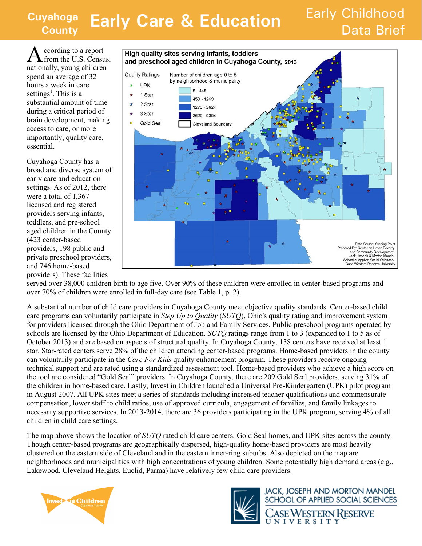#### **Cuyahoga Vahoga Early Care & Education** Early Childhood

# Data Brief

A ccording to a report from the U.S. Census, nationally, young children spend an average of 32 hours a week in care settings<sup>1</sup>. This is a substantial amount of time during a critical period of brain development, making access to care, or more importantly, quality care, essential.

Cuyahoga County has a broad and diverse system of early care and education settings. As of 2012, there were a total of 1,367 licensed and registered providers serving infants, toddlers, and pre-school aged children in the County (423 center-based providers, 198 public and private preschool providers, and 746 home-based providers). These facilities



served over 38,000 children birth to age five. Over 90% of these children were enrolled in center-based programs and over 70% of children were enrolled in full-day care (see Table 1, p. 2).

A substantial number of child care providers in Cuyahoga County meet objective quality standards. Center-based child care programs can voluntarily participate in *Step Up to Quality* (*SUTQ*), Ohio's quality rating and improvement system for providers licensed through the Ohio Department of Job and Family Services. Public preschool programs operated by schools are licensed by the Ohio Department of Education. *SUTQ* ratings range from 1 to 3 (expanded to 1 to 5 as of October 2013) and are based on aspects of structural quality. In Cuyahoga County, 138 centers have received at least 1 star. Star-rated centers serve 28% of the children attending center-based programs. Home-based providers in the county can voluntarily participate in the *Care For Kids* quality enhancement program. These providers receive ongoing technical support and are rated using a standardized assessment tool. Home-based providers who achieve a high score on the tool are considered "Gold Seal" providers. In Cuyahoga County, there are 209 Gold Seal providers, serving 31% of the children in home-based care. Lastly, Invest in Children launched a Universal Pre-Kindergarten (UPK) pilot program in August 2007. All UPK sites meet a series of standards including increased teacher qualifications and commensurate compensation, lower staff to child ratios, use of approved curricula, engagement of families, and family linkages to necessary supportive services. In 2013-2014, there are 36 providers participating in the UPK program, serving 4% of all children in child care settings.

The map above shows the location of *SUTQ* rated child care centers, Gold Seal homes, and UPK sites across the county. Though center-based programs are geographically dispersed, high-quality home-based providers are most heavily clustered on the eastern side of Cleveland and in the eastern inner-ring suburbs. Also depicted on the map are neighborhoods and municipalities with high concentrations of young children. Some potentially high demand areas (e.g., Lakewood, Cleveland Heights, Euclid, Parma) have relatively few child care providers.





**JACK, JOSEPH AND MORTON MANDEL** SCHOOL OF APPLIED SOCIAL SCIENCES

'ase Western Reserve UNIVERSITY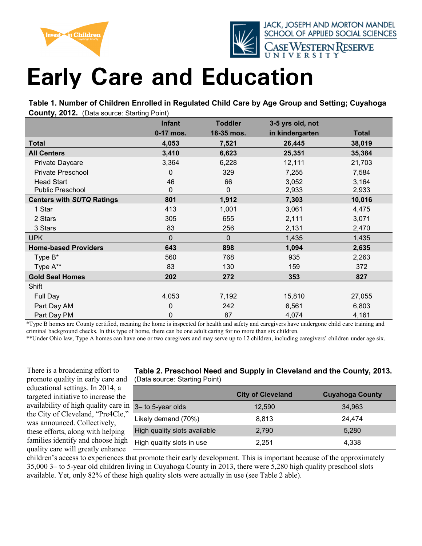



JACK, JOSEPH AND MORTON MANDEL SCHOOL OF APPLIED SOCIAL SCIENCES se Western Reserve

## **Early Care and Education**

**Table 1. Number of Children Enrolled in Regulated Child Care by Age Group and Setting; Cuyahoga County, 2012.** (Data source: Starting Point)

|                                     | <b>Infant</b> | <b>Toddler</b> | 3-5 yrs old, not |                |
|-------------------------------------|---------------|----------------|------------------|----------------|
|                                     | 0-17 mos.     | 18-35 mos.     | in kindergarten  | <b>Total</b>   |
| <b>Total</b>                        | 4,053         | 7,521          | 26,445           | 38,019         |
| <b>All Centers</b>                  | 3,410         | 6,623          | 25,351           | 35,384         |
| Private Daycare                     | 3,364         | 6,228          | 12,111           | 21,703         |
| <b>Private Preschool</b>            | 0             | 329            | 7,255            | 7,584          |
| <b>Head Start</b>                   | 46            | 66             | 3,052            | 3,164          |
| Public Preschool                    | 0             | 0              | 2,933            | 2,933          |
| <b>Centers with SUTQ Ratings</b>    | 801           | 1,912          | 7,303            | 10,016         |
| 1 Star                              | 413           | 1,001          | 3,061            | 4,475          |
| 2 Stars                             | 305           | 655            | 2,111            | 3,071          |
| 3 Stars                             | 83            | 256            | 2,131            | 2,470          |
| <b>UPK</b>                          | $\Omega$      | 0              | 1,435            | 1,435          |
| <b>Home-based Providers</b>         | 643           | 898            | 1,094            | 2,635          |
| Type B*                             | 560           | 768            | 935              | 2,263          |
| Type A**                            | 83            | 130            | 159              | 372            |
| <b>Gold Seal Homes</b>              | 202           | 272            | 353              | 827            |
| Shift                               |               |                |                  |                |
| Full Day                            | 4,053         | 7,192          | 15,810           | 27,055         |
| Part Day AM                         | 0             | 242            | 6,561            | 6,803          |
| Part Day PM<br>$\sim$ $\sim$ $\sim$ | 0             | 87             | 4,074            | 4,161<br>1.111 |

\*Type B homes are County certified, meaning the home is inspected for health and safety and caregivers have undergone child care training and criminal background checks. In this type of home, there can be one adult caring for no more than six children.

\*\*Under Ohio law, Type A homes can have one or two caregivers and may serve up to 12 children, including caregivers' children under age six.

There is a broadening effort to promote quality in early care and educational settings. In 2014, a targeted initiative to increase the availability of high quality care in the City of Cleveland, "Pre4Cle," was announced. Collectively, these efforts, along with helping families identify and choose high quality care will greatly enhance

#### **Table 2. Preschool Need and Supply in Cleveland and the County, 2013.**  (Data source: Starting Point)

|                              | <b>City of Cleveland</b> | <b>Cuyahoga County</b> |
|------------------------------|--------------------------|------------------------|
| 3– to 5-year olds            | 12,590                   | 34,963                 |
| Likely demand (70%)          | 8.813                    | 24,474                 |
| High quality slots available | 2.790                    | 5,280                  |
| High quality slots in use    | 2.251                    | 4,338                  |

children's access to experiences that promote their early development. This is important because of the approximately 35,000 3– to 5-year old children living in Cuyahoga County in 2013, there were 5,280 high quality preschool slots available. Yet, only 82% of these high quality slots were actually in use (see Table 2 able).